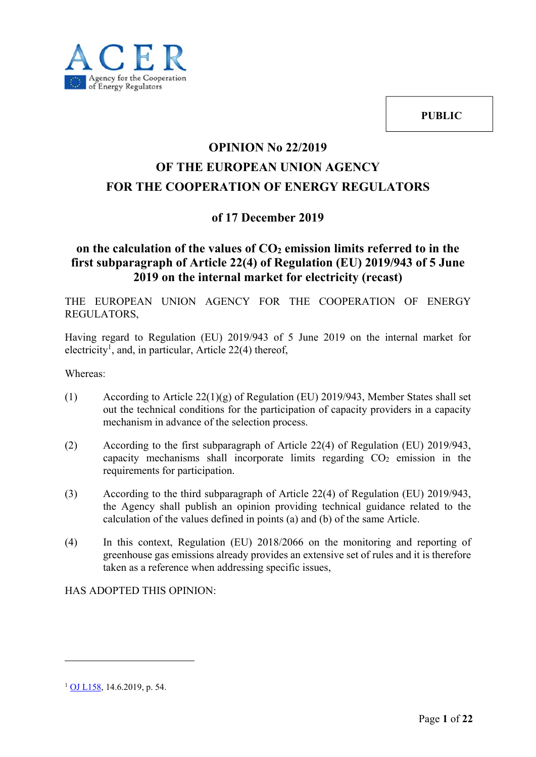



## **OPINION No 22/2019 OF THE EUROPEAN UNION AGENCY FOR THE COOPERATION OF ENERGY REGULATORS**

### **of 17 December 2019**

### on the calculation of the values of  $CO<sub>2</sub>$  emission limits referred to in the **first subparagraph of Article 22(4) of Regulation (EU) 2019/943 of 5 June 2019 on the internal market for electricity (recast)**

THE EUROPEAN UNION AGENCY FOR THE COOPERATION OF ENERGY REGULATORS,

Having regard to Regulation (EU) 2019/943 of 5 June 2019 on the internal market for electricity<sup>1</sup>, and, in particular, Article 22(4) thereof,

Whereas:

- (1) According to Article 22(1)(g) of Regulation (EU) 2019/943, Member States shall set out the technical conditions for the participation of capacity providers in a capacity mechanism in advance of the selection process.
- (2) According to the first subparagraph of Article 22(4) of Regulation (EU) 2019/943, capacity mechanisms shall incorporate limits regarding  $CO<sub>2</sub>$  emission in the requirements for participation.
- (3) According to the third subparagraph of Article 22(4) of Regulation (EU) 2019/943, the Agency shall publish an opinion providing technical guidance related to the calculation of the values defined in points (a) and (b) of the same Article.
- (4) In this context, Regulation (EU) 2018/2066 on the monitoring and reporting of greenhouse gas emissions already provides an extensive set of rules and it is therefore taken as a reference when addressing specific issues,

HAS ADOPTED THIS OPINION:

<u>.</u>

 $1$  OJ L158, 14.6.2019, p. 54.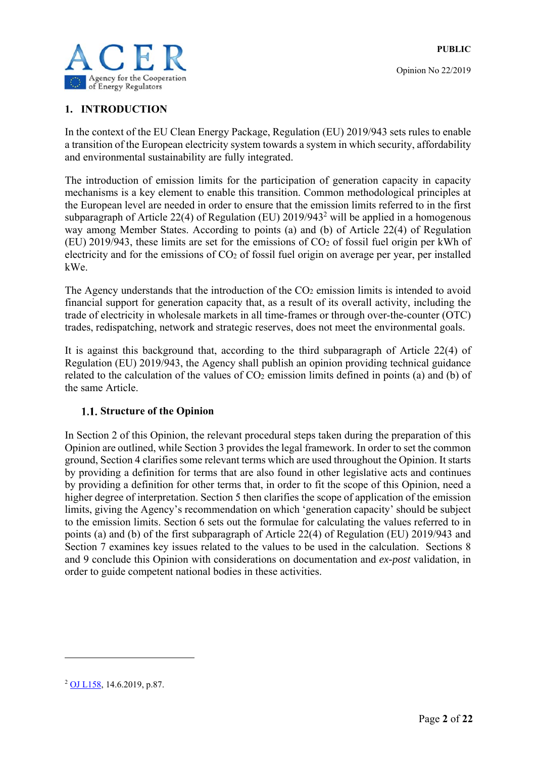

#### **1. INTRODUCTION**

In the context of the EU Clean Energy Package, Regulation (EU) 2019/943 sets rules to enable a transition of the European electricity system towards a system in which security, affordability and environmental sustainability are fully integrated.

The introduction of emission limits for the participation of generation capacity in capacity mechanisms is a key element to enable this transition. Common methodological principles at the European level are needed in order to ensure that the emission limits referred to in the first subparagraph of Article 22(4) of Regulation (EU)  $2019/943^2$  will be applied in a homogenous way among Member States. According to points (a) and (b) of Article 22(4) of Regulation (EU) 2019/943, these limits are set for the emissions of CO2 of fossil fuel origin per kWh of electricity and for the emissions of  $CO<sub>2</sub>$  of fossil fuel origin on average per year, per installed kWe.

The Agency understands that the introduction of the  $CO<sub>2</sub>$  emission limits is intended to avoid financial support for generation capacity that, as a result of its overall activity, including the trade of electricity in wholesale markets in all time-frames or through over-the-counter (OTC) trades, redispatching, network and strategic reserves, does not meet the environmental goals.

It is against this background that, according to the third subparagraph of Article 22(4) of Regulation (EU) 2019/943, the Agency shall publish an opinion providing technical guidance related to the calculation of the values of  $CO<sub>2</sub>$  emission limits defined in points (a) and (b) of the same Article.

#### **1.1. Structure of the Opinion**

In Section 2 of this Opinion, the relevant procedural steps taken during the preparation of this Opinion are outlined, while Section 3 provides the legal framework. In order to set the common ground, Section 4 clarifies some relevant terms which are used throughout the Opinion. It starts by providing a definition for terms that are also found in other legislative acts and continues by providing a definition for other terms that, in order to fit the scope of this Opinion, need a higher degree of interpretation. Section 5 then clarifies the scope of application of the emission limits, giving the Agency's recommendation on which 'generation capacity' should be subject to the emission limits. Section 6 sets out the formulae for calculating the values referred to in points (a) and (b) of the first subparagraph of Article 22(4) of Regulation (EU) 2019/943 and Section 7 examines key issues related to the values to be used in the calculation. Sections 8 and 9 conclude this Opinion with considerations on documentation and *ex-post* validation, in order to guide competent national bodies in these activities.

<u>.</u>

<sup>2</sup> OJ L158, 14.6.2019, p.87.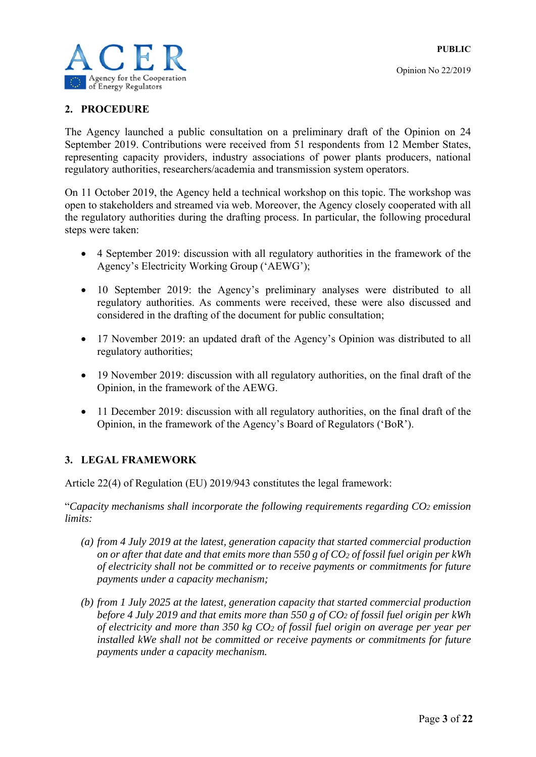

#### **2. PROCEDURE**

The Agency launched a public consultation on a preliminary draft of the Opinion on 24 September 2019. Contributions were received from 51 respondents from 12 Member States, representing capacity providers, industry associations of power plants producers, national regulatory authorities, researchers/academia and transmission system operators.

On 11 October 2019, the Agency held a technical workshop on this topic. The workshop was open to stakeholders and streamed via web. Moreover, the Agency closely cooperated with all the regulatory authorities during the drafting process. In particular, the following procedural steps were taken:

- 4 September 2019: discussion with all regulatory authorities in the framework of the Agency's Electricity Working Group ('AEWG');
- 10 September 2019: the Agency's preliminary analyses were distributed to all regulatory authorities. As comments were received, these were also discussed and considered in the drafting of the document for public consultation;
- 17 November 2019: an updated draft of the Agency's Opinion was distributed to all regulatory authorities;
- 19 November 2019: discussion with all regulatory authorities, on the final draft of the Opinion, in the framework of the AEWG.
- 11 December 2019: discussion with all regulatory authorities, on the final draft of the Opinion, in the framework of the Agency's Board of Regulators ('BoR').

#### **3. LEGAL FRAMEWORK**

Article 22(4) of Regulation (EU) 2019/943 constitutes the legal framework:

"*Capacity mechanisms shall incorporate the following requirements regarding CO2 emission limits:* 

- *(a) from 4 July 2019 at the latest, generation capacity that started commercial production on or after that date and that emits more than 550 g of CO2 of fossil fuel origin per kWh of electricity shall not be committed or to receive payments or commitments for future payments under a capacity mechanism;*
- *(b) from 1 July 2025 at the latest, generation capacity that started commercial production before 4 July 2019 and that emits more than 550 g of CO2 of fossil fuel origin per kWh of electricity and more than 350 kg CO2 of fossil fuel origin on average per year per installed kWe shall not be committed or receive payments or commitments for future payments under a capacity mechanism.*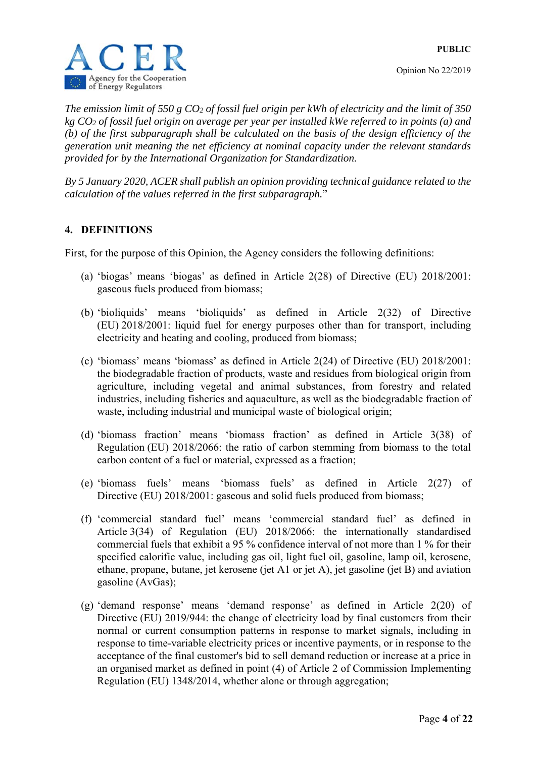



*The emission limit of 550 g CO2 of fossil fuel origin per kWh of electricity and the limit of 350 kg CO2 of fossil fuel origin on average per year per installed kWe referred to in points (a) and (b) of the first subparagraph shall be calculated on the basis of the design efficiency of the generation unit meaning the net efficiency at nominal capacity under the relevant standards provided for by the International Organization for Standardization.* 

*By 5 January 2020, ACER shall publish an opinion providing technical guidance related to the calculation of the values referred in the first subparagraph.*"

#### **4. DEFINITIONS**

First, for the purpose of this Opinion, the Agency considers the following definitions:

- (a) 'biogas' means 'biogas' as defined in Article 2(28) of Directive (EU) 2018/2001: gaseous fuels produced from biomass;
- (b) 'bioliquids' means 'bioliquids' as defined in Article 2(32) of Directive (EU) 2018/2001: liquid fuel for energy purposes other than for transport, including electricity and heating and cooling, produced from biomass;
- (c) 'biomass' means 'biomass' as defined in Article 2(24) of Directive (EU) 2018/2001: the biodegradable fraction of products, waste and residues from biological origin from agriculture, including vegetal and animal substances, from forestry and related industries, including fisheries and aquaculture, as well as the biodegradable fraction of waste, including industrial and municipal waste of biological origin;
- (d) 'biomass fraction' means 'biomass fraction' as defined in Article 3(38) of Regulation (EU) 2018/2066: the ratio of carbon stemming from biomass to the total carbon content of a fuel or material, expressed as a fraction;
- (e) 'biomass fuels' means 'biomass fuels' as defined in Article 2(27) of Directive (EU) 2018/2001: gaseous and solid fuels produced from biomass;
- (f) 'commercial standard fuel' means 'commercial standard fuel' as defined in Article 3(34) of Regulation (EU) 2018/2066: the internationally standardised commercial fuels that exhibit a 95 % confidence interval of not more than 1 % for their specified calorific value, including gas oil, light fuel oil, gasoline, lamp oil, kerosene, ethane, propane, butane, jet kerosene (jet A1 or jet A), jet gasoline (jet B) and aviation gasoline (AvGas);
- (g) 'demand response' means 'demand response' as defined in Article 2(20) of Directive (EU) 2019/944: the change of electricity load by final customers from their normal or current consumption patterns in response to market signals, including in response to time-variable electricity prices or incentive payments, or in response to the acceptance of the final customer's bid to sell demand reduction or increase at a price in an organised market as defined in point (4) of Article 2 of Commission Implementing Regulation (EU) 1348/2014, whether alone or through aggregation;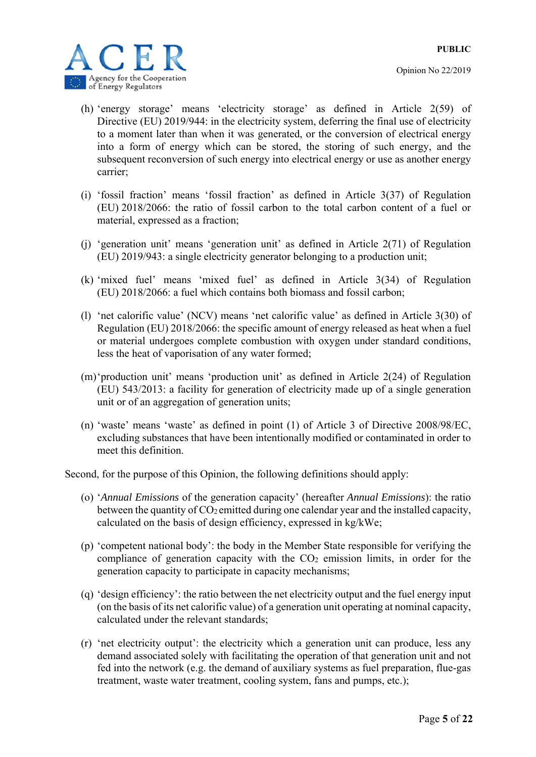

- (h) 'energy storage' means 'electricity storage' as defined in Article 2(59) of Directive (EU) 2019/944: in the electricity system, deferring the final use of electricity to a moment later than when it was generated, or the conversion of electrical energy into a form of energy which can be stored, the storing of such energy, and the subsequent reconversion of such energy into electrical energy or use as another energy carrier;
- (i) 'fossil fraction' means 'fossil fraction' as defined in Article 3(37) of Regulation (EU) 2018/2066: the ratio of fossil carbon to the total carbon content of a fuel or material, expressed as a fraction;
- (j) 'generation unit' means 'generation unit' as defined in Article 2(71) of Regulation (EU) 2019/943: a single electricity generator belonging to a production unit;
- (k) 'mixed fuel' means 'mixed fuel' as defined in Article 3(34) of Regulation (EU) 2018/2066: a fuel which contains both biomass and fossil carbon;
- (l) 'net calorific value' (NCV) means 'net calorific value' as defined in Article 3(30) of Regulation (EU) 2018/2066: the specific amount of energy released as heat when a fuel or material undergoes complete combustion with oxygen under standard conditions, less the heat of vaporisation of any water formed;
- (m)'production unit' means 'production unit' as defined in Article 2(24) of Regulation (EU) 543/2013: a facility for generation of electricity made up of a single generation unit or of an aggregation of generation units;
- (n) 'waste' means 'waste' as defined in point (1) of Article 3 of Directive 2008/98/EC, excluding substances that have been intentionally modified or contaminated in order to meet this definition.

Second, for the purpose of this Opinion, the following definitions should apply:

- (o) '*Annual Emissions* of the generation capacity' (hereafter *Annual Emissions*): the ratio between the quantity of  $CO<sub>2</sub>$  emitted during one calendar year and the installed capacity, calculated on the basis of design efficiency, expressed in kg/kWe;
- (p) 'competent national body': the body in the Member State responsible for verifying the compliance of generation capacity with the  $CO<sub>2</sub>$  emission limits, in order for the generation capacity to participate in capacity mechanisms;
- (q) 'design efficiency': the ratio between the net electricity output and the fuel energy input (on the basis of its net calorific value) of a generation unit operating at nominal capacity, calculated under the relevant standards;
- (r) 'net electricity output': the electricity which a generation unit can produce, less any demand associated solely with facilitating the operation of that generation unit and not fed into the network (e.g. the demand of auxiliary systems as fuel preparation, flue-gas treatment, waste water treatment, cooling system, fans and pumps, etc.);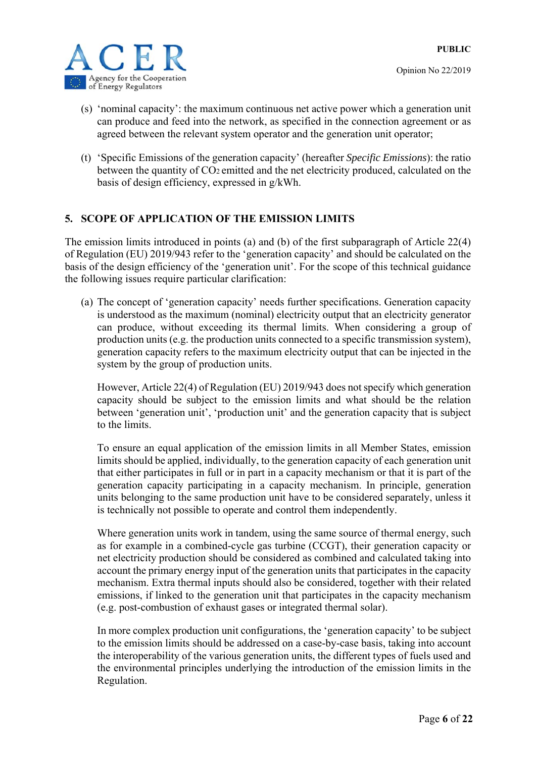

- (s) 'nominal capacity': the maximum continuous net active power which a generation unit can produce and feed into the network, as specified in the connection agreement or as agreed between the relevant system operator and the generation unit operator;
- (t) 'Specific Emissions of the generation capacity' (hereafter *Specific Emissions*): the ratio between the quantity of CO<sub>2</sub> emitted and the net electricity produced, calculated on the basis of design efficiency, expressed in g/kWh.

#### **5. SCOPE OF APPLICATION OF THE EMISSION LIMITS**

The emission limits introduced in points (a) and (b) of the first subparagraph of Article 22(4) of Regulation (EU) 2019/943 refer to the 'generation capacity' and should be calculated on the basis of the design efficiency of the 'generation unit'. For the scope of this technical guidance the following issues require particular clarification:

(a) The concept of 'generation capacity' needs further specifications. Generation capacity is understood as the maximum (nominal) electricity output that an electricity generator can produce, without exceeding its thermal limits. When considering a group of production units (e.g. the production units connected to a specific transmission system), generation capacity refers to the maximum electricity output that can be injected in the system by the group of production units.

However, Article 22(4) of Regulation (EU) 2019/943 does not specify which generation capacity should be subject to the emission limits and what should be the relation between 'generation unit', 'production unit' and the generation capacity that is subject to the limits.

To ensure an equal application of the emission limits in all Member States, emission limits should be applied, individually, to the generation capacity of each generation unit that either participates in full or in part in a capacity mechanism or that it is part of the generation capacity participating in a capacity mechanism. In principle, generation units belonging to the same production unit have to be considered separately, unless it is technically not possible to operate and control them independently.

Where generation units work in tandem, using the same source of thermal energy, such as for example in a combined-cycle gas turbine (CCGT), their generation capacity or net electricity production should be considered as combined and calculated taking into account the primary energy input of the generation units that participates in the capacity mechanism. Extra thermal inputs should also be considered, together with their related emissions, if linked to the generation unit that participates in the capacity mechanism (e.g. post-combustion of exhaust gases or integrated thermal solar).

In more complex production unit configurations, the 'generation capacity' to be subject to the emission limits should be addressed on a case-by-case basis, taking into account the interoperability of the various generation units, the different types of fuels used and the environmental principles underlying the introduction of the emission limits in the Regulation.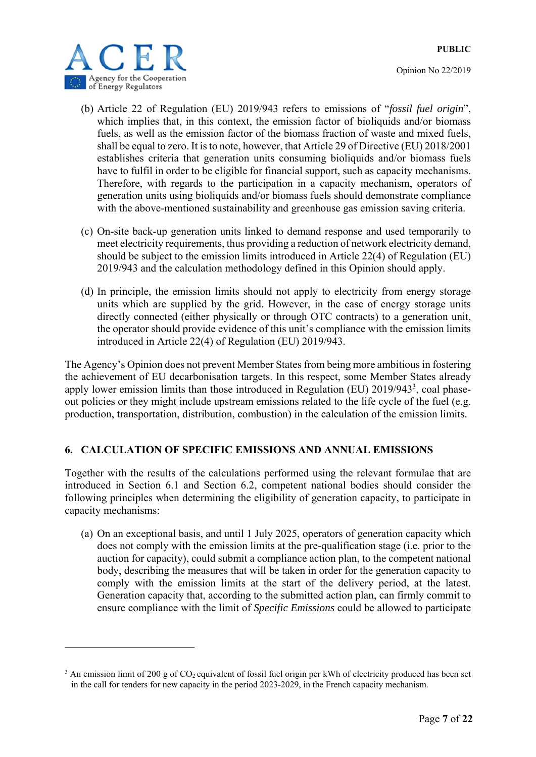Opinion No 22/2019



1

- (b) Article 22 of Regulation (EU) 2019/943 refers to emissions of "*fossil fuel origin*", which implies that, in this context, the emission factor of bioliquids and/or biomass fuels, as well as the emission factor of the biomass fraction of waste and mixed fuels, shall be equal to zero. It is to note, however, that Article 29 of Directive (EU) 2018/2001 establishes criteria that generation units consuming bioliquids and/or biomass fuels have to fulfil in order to be eligible for financial support, such as capacity mechanisms. Therefore, with regards to the participation in a capacity mechanism, operators of generation units using bioliquids and/or biomass fuels should demonstrate compliance with the above-mentioned sustainability and greenhouse gas emission saving criteria.
- (c) On-site back-up generation units linked to demand response and used temporarily to meet electricity requirements, thus providing a reduction of network electricity demand, should be subject to the emission limits introduced in Article 22(4) of Regulation (EU) 2019/943 and the calculation methodology defined in this Opinion should apply.
- (d) In principle, the emission limits should not apply to electricity from energy storage units which are supplied by the grid. However, in the case of energy storage units directly connected (either physically or through OTC contracts) to a generation unit, the operator should provide evidence of this unit's compliance with the emission limits introduced in Article 22(4) of Regulation (EU) 2019/943.

The Agency's Opinion does not prevent Member States from being more ambitious in fostering the achievement of EU decarbonisation targets. In this respect, some Member States already apply lower emission limits than those introduced in Regulation (EU) 2019/943<sup>3</sup>, coal phaseout policies or they might include upstream emissions related to the life cycle of the fuel (e.g. production, transportation, distribution, combustion) in the calculation of the emission limits.

#### **6. CALCULATION OF SPECIFIC EMISSIONS AND ANNUAL EMISSIONS**

Together with the results of the calculations performed using the relevant formulae that are introduced in Section 6.1 and Section 6.2, competent national bodies should consider the following principles when determining the eligibility of generation capacity, to participate in capacity mechanisms:

(a) On an exceptional basis, and until 1 July 2025, operators of generation capacity which does not comply with the emission limits at the pre-qualification stage (i.e. prior to the auction for capacity), could submit a compliance action plan, to the competent national body, describing the measures that will be taken in order for the generation capacity to comply with the emission limits at the start of the delivery period, at the latest. Generation capacity that, according to the submitted action plan, can firmly commit to ensure compliance with the limit of *Specific Emissions* could be allowed to participate

<sup>&</sup>lt;sup>3</sup> An emission limit of 200 g of  $CO<sub>2</sub>$  equivalent of fossil fuel origin per kWh of electricity produced has been set in the call for tenders for new capacity in the period 2023-2029, in the French capacity mechanism.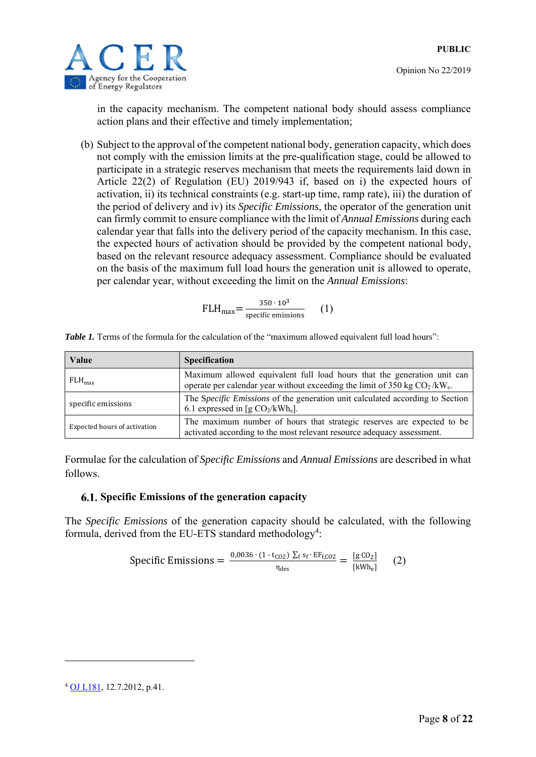



in the capacity mechanism. The competent national body should assess compliance action plans and their effective and timely implementation;

(b) Subject to the approval of the competent national body, generation capacity, which does not comply with the emission limits at the pre-qualification stage, could be allowed to participate in a strategic reserves mechanism that meets the requirements laid down in Article 22(2) of Regulation (EU) 2019/943 if, based on i) the expected hours of activation, ii) its technical constraints (e.g. start-up time, ramp rate), iii) the duration of the period of delivery and iv) its *Specific Emissions*, the operator of the generation unit can firmly commit to ensure compliance with the limit of *Annual Emissions* during each calendar year that falls into the delivery period of the capacity mechanism. In this case, the expected hours of activation should be provided by the competent national body, based on the relevant resource adequacy assessment. Compliance should be evaluated on the basis of the maximum full load hours the generation unit is allowed to operate, per calendar year, without exceeding the limit on the *Annual Emissions*:

$$
FLH_{\text{max}} = \frac{350 \cdot 10^3}{\text{specific emissions}} \qquad (1)
$$

| Value                        | <b>Specification</b>                                                                                                                                   |  |  |
|------------------------------|--------------------------------------------------------------------------------------------------------------------------------------------------------|--|--|
| $FLH_{\text{max}}$           | Maximum allowed equivalent full load hours that the generation unit can<br>operate per calendar year without exceeding the limit of 350 kg $CO2/kWe$ . |  |  |
| specific emissions           | The Specific Emissions of the generation unit calculated according to Section<br>6.1 expressed in [g $CO_2/kWh_e$ ].                                   |  |  |
| Expected hours of activation | The maximum number of hours that strategic reserves are expected to be<br>activated according to the most relevant resource adequacy assessment.       |  |  |

*Table 1*. Terms of the formula for the calculation of the "maximum allowed equivalent full load hours":

Formulae for the calculation of *Specific Emissions* and *Annual Emissions* are described in what follows.

#### **Specific Emissions of the generation capacity**

The *Specific Emissions* of the generation capacity should be calculated, with the following formula, derived from the EU-ETS standard methodology<sup>4</sup>:

$$
\text{Specific Emissions} = \frac{0.0036 \cdot (1 \cdot \text{t}_{CO2}) \sum_{f} s_f \cdot \text{EF}_{f,CO2}}{\eta_{des}} = \frac{[g \text{ } CO_2]}{[\text{kWh}_e]} \tag{2}
$$

<u>.</u>

<sup>4</sup> OJ L181, 12.7.2012, p.41.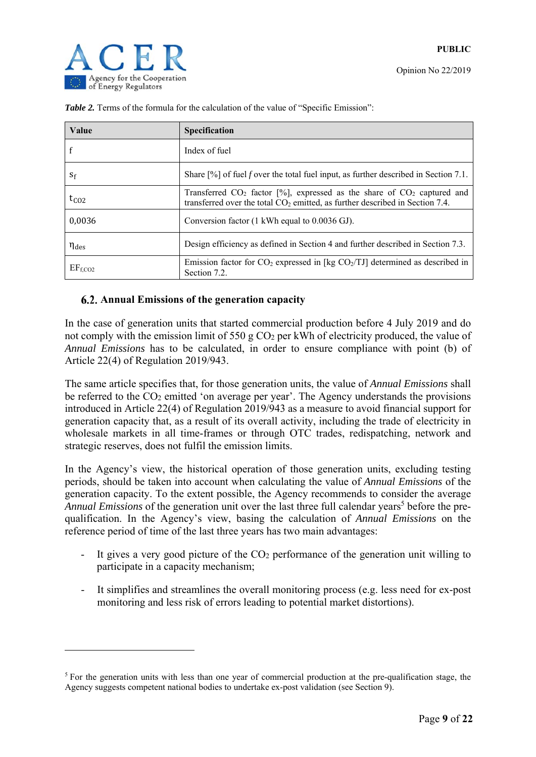1

Opinion No 22/2019

| Value               | <b>Specification</b>                                                                                                                                           |
|---------------------|----------------------------------------------------------------------------------------------------------------------------------------------------------------|
|                     | Index of fuel                                                                                                                                                  |
| $S_f$               | Share $[%]$ of fuel f over the total fuel input, as further described in Section 7.1.                                                                          |
| $t_{CO2}$           | Transferred $CO_2$ factor [%], expressed as the share of $CO_2$ captured and<br>transferred over the total $CO2$ emitted, as further described in Section 7.4. |
| 0,0036              | Conversion factor (1 kWh equal to 0.0036 GJ).                                                                                                                  |
| $\eta_{\text{des}}$ | Design efficiency as defined in Section 4 and further described in Section 7.3.                                                                                |
| EF <sub>f,CO2</sub> | Emission factor for $CO_2$ expressed in [kg $CO_2/TJ$ ] determined as described in<br>Section 7.2.                                                             |

**Table 2.** Terms of the formula for the calculation of the value of "Specific Emission":

#### **Annual Emissions of the generation capacity**

In the case of generation units that started commercial production before 4 July 2019 and do not comply with the emission limit of 550 g  $CO<sub>2</sub>$  per kWh of electricity produced, the value of *Annual Emissions* has to be calculated, in order to ensure compliance with point (b) of Article 22(4) of Regulation 2019/943.

The same article specifies that, for those generation units, the value of *Annual Emissions* shall be referred to the CO<sub>2</sub> emitted 'on average per year'. The Agency understands the provisions introduced in Article 22(4) of Regulation 2019/943 as a measure to avoid financial support for generation capacity that, as a result of its overall activity, including the trade of electricity in wholesale markets in all time-frames or through OTC trades, redispatching, network and strategic reserves, does not fulfil the emission limits.

In the Agency's view, the historical operation of those generation units, excluding testing periods, should be taken into account when calculating the value of *Annual Emissions* of the generation capacity. To the extent possible, the Agency recommends to consider the average Annual Emissions of the generation unit over the last three full calendar years<sup>5</sup> before the prequalification. In the Agency's view, basing the calculation of *Annual Emissions* on the reference period of time of the last three years has two main advantages:

- It gives a very good picture of the CO2 performance of the generation unit willing to participate in a capacity mechanism;
- It simplifies and streamlines the overall monitoring process (e.g. less need for ex-post monitoring and less risk of errors leading to potential market distortions).

<sup>&</sup>lt;sup>5</sup> For the generation units with less than one year of commercial production at the pre-qualification stage, the Agency suggests competent national bodies to undertake ex-post validation (see Section 9).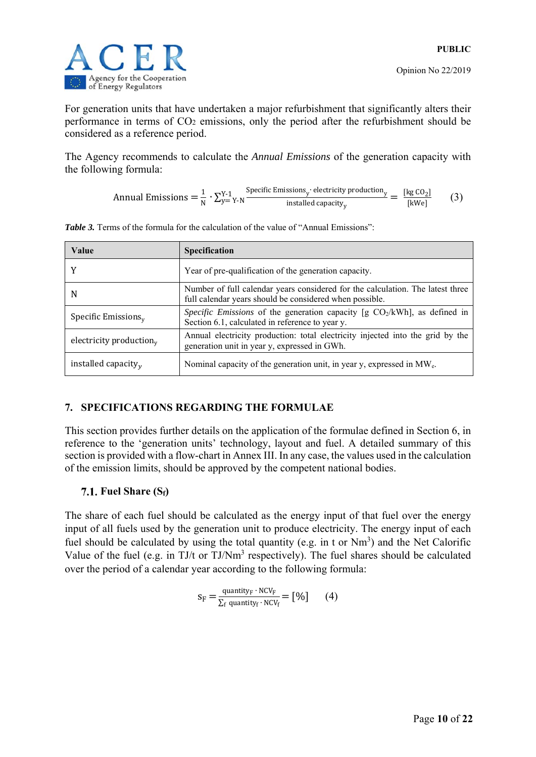

For generation units that have undertaken a major refurbishment that significantly alters their performance in terms of CO2 emissions, only the period after the refurbishment should be considered as a reference period.

The Agency recommends to calculate the *Annual Emissions* of the generation capacity with the following formula:

$$
Annual Emissions = \frac{1}{N} \cdot \sum_{y= Y-N}^{Y-1} \frac{Specific Emissions_y \cdot electricity\,production_y}{installed\,capacity_y} = \frac{[kg\,CO_2]}{[kWe]} \tag{3}
$$

| Value                             | <b>Specification</b>                                                                                                                      |
|-----------------------------------|-------------------------------------------------------------------------------------------------------------------------------------------|
|                                   | Year of pre-qualification of the generation capacity.                                                                                     |
| N                                 | Number of full calendar years considered for the calculation. The latest three<br>full calendar years should be considered when possible. |
| Specific Emissions $v$            | Specific Emissions of the generation capacity [g $CO2/kWh$ ], as defined in<br>Section 6.1, calculated in reference to year y.            |
| electricity production $_{\rm v}$ | Annual electricity production: total electricity injected into the grid by the<br>generation unit in year y, expressed in GWh.            |
| installed capacity $v$            | Nominal capacity of the generation unit, in year y, expressed in MW <sub>e</sub> .                                                        |

*Table 3.* Terms of the formula for the calculation of the value of "Annual Emissions":

#### **7. SPECIFICATIONS REGARDING THE FORMULAE**

This section provides further details on the application of the formulae defined in Section 6, in reference to the 'generation units' technology, layout and fuel. A detailed summary of this section is provided with a flow-chart in Annex III. In any case, the values used in the calculation of the emission limits, should be approved by the competent national bodies.

#### **Fuel Share (Sf)**

The share of each fuel should be calculated as the energy input of that fuel over the energy input of all fuels used by the generation unit to produce electricity. The energy input of each fuel should be calculated by using the total quantity (e.g. in t or  $Nm^3$ ) and the Net Calorific Value of the fuel (e.g. in TJ/t or TJ/Nm<sup>3</sup> respectively). The fuel shares should be calculated over the period of a calendar year according to the following formula:

$$
s_F = \frac{\text{quantity}_F \cdot \text{NCV}_F}{\sum_f \text{quantity}_f \cdot \text{NCV}_f} = [%]
$$
 (4)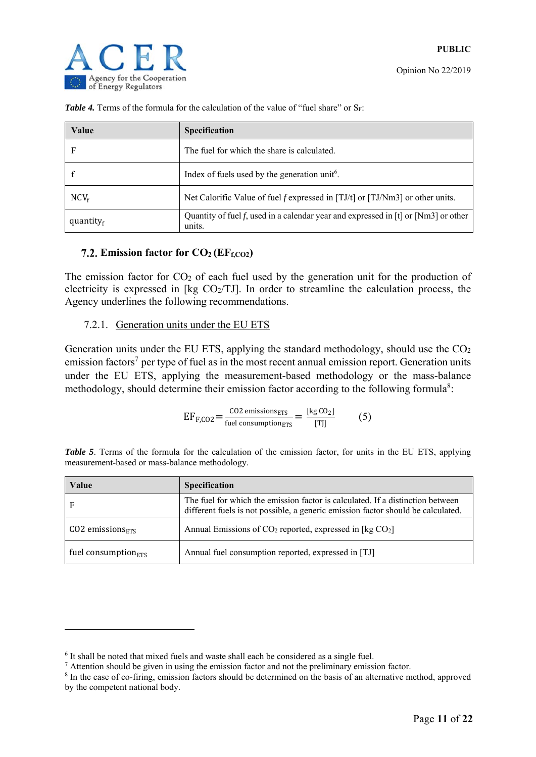| Value               | <b>Specification</b>                                                                             |
|---------------------|--------------------------------------------------------------------------------------------------|
| F                   | The fuel for which the share is calculated.                                                      |
|                     | Index of fuels used by the generation unit <sup>6</sup> .                                        |
| $NCV_f$             | Net Calorific Value of fuel f expressed in [TJ/t] or [TJ/Nm3] or other units.                    |
| quantity $_{\rm f}$ | Quantity of fuel f, used in a calendar year and expressed in $[t]$ or $[Nm3]$ or other<br>units. |

**Table 4.** Terms of the formula for the calculation of the value of "fuel share" or  $S_F$ :

#### 7.2. Emission factor for  $CO<sub>2</sub> (EF<sub>f,CO2</sub>)$

The emission factor for  $CO<sub>2</sub>$  of each fuel used by the generation unit for the production of electricity is expressed in [kg  $CO<sub>2</sub>/TJ$ ]. In order to streamline the calculation process, the Agency underlines the following recommendations.

#### 7.2.1. Generation units under the EU ETS

Generation units under the EU ETS, applying the standard methodology, should use the CO2 emission factors<sup>7</sup> per type of fuel as in the most recent annual emission report. Generation units under the EU ETS, applying the measurement-based methodology or the mass-balance methodology, should determine their emission factor according to the following formula<sup>8</sup>:

$$
EF_{F,CO2} = \frac{\text{CO2 emissions}_{ETS}}{\text{fuel consumption}_{ETS}} = \frac{[\text{kg CO}_2]}{[T]]}
$$
 (5)

|  |  |  | Table 5. Terms of the formula for the calculation of the emission factor, for units in the EU ETS, applying |  |  |  |  |  |  |
|--|--|--|-------------------------------------------------------------------------------------------------------------|--|--|--|--|--|--|
|  |  |  | measurement-based or mass-balance methodology.                                                              |  |  |  |  |  |  |

| Value                            | <b>Specification</b>                                                                                                                                               |
|----------------------------------|--------------------------------------------------------------------------------------------------------------------------------------------------------------------|
| F                                | The fuel for which the emission factor is calculated. If a distinction between<br>different fuels is not possible, a generic emission factor should be calculated. |
| $CO2$ emissions $F_{\text{RTS}}$ | Annual Emissions of $CO_2$ reported, expressed in [kg $CO_2$ ]                                                                                                     |
| fuel consumption $_{ETS}$        | Annual fuel consumption reported, expressed in [TJ]                                                                                                                |

-

 $^6$  It shall be noted that mixed fuels and waste shall each be considered as a single fuel.<br>
<sup>7</sup> Attention should be given in using the emission factor and not the preliminary emissively

 $\alpha$  Attention should be given in using the emission factor and not the preliminary emission factor.

<sup>&</sup>lt;sup>8</sup> In the case of co-firing, emission factors should be determined on the basis of an alternative method, approved by the competent national body.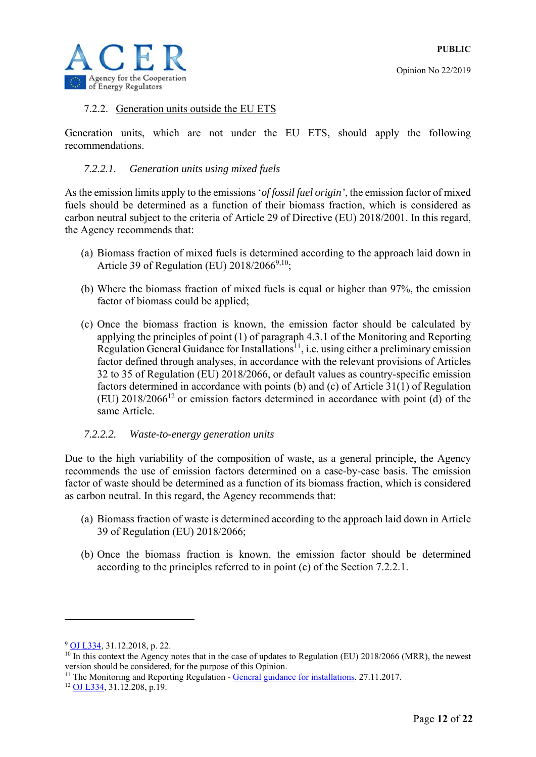



#### 7.2.2. Generation units outside the EU ETS

Generation units, which are not under the EU ETS, should apply the following recommendations.

#### *7.2.2.1. Generation units using mixed fuels*

As the emission limits apply to the emissions '*of fossil fuel origin'*, the emission factor of mixed fuels should be determined as a function of their biomass fraction, which is considered as carbon neutral subject to the criteria of Article 29 of Directive (EU) 2018/2001. In this regard, the Agency recommends that:

- (a) Biomass fraction of mixed fuels is determined according to the approach laid down in Article 39 of Regulation (EU)  $2018/2066^{9,10}$ ;
- (b) Where the biomass fraction of mixed fuels is equal or higher than 97%, the emission factor of biomass could be applied;
- (c) Once the biomass fraction is known, the emission factor should be calculated by applying the principles of point (1) of paragraph 4.3.1 of the Monitoring and Reporting Regulation General Guidance for Installations<sup>11</sup>, i.e. using either a preliminary emission factor defined through analyses, in accordance with the relevant provisions of Articles 32 to 35 of Regulation (EU) 2018/2066, or default values as country-specific emission factors determined in accordance with points (b) and (c) of Article 31(1) of Regulation  $(EU)$  2018/2066<sup>12</sup> or emission factors determined in accordance with point (d) of the same Article.

#### *7.2.2.2. Waste-to-energy generation units*

Due to the high variability of the composition of waste, as a general principle, the Agency recommends the use of emission factors determined on a case-by-case basis. The emission factor of waste should be determined as a function of its biomass fraction, which is considered as carbon neutral. In this regard, the Agency recommends that:

- (a) Biomass fraction of waste is determined according to the approach laid down in Article 39 of Regulation (EU) 2018/2066;
- (b) Once the biomass fraction is known, the emission factor should be determined according to the principles referred to in point (c) of the Section 7.2.2.1.

1

<sup>9</sup> OJ L334, 31.12.2018, p. 22.

<sup>&</sup>lt;sup>10</sup> In this context the Agency notes that in the case of updates to Regulation (EU) 2018/2066 (MRR), the newest version should be considered, for the purpose of this Opinion.

<sup>&</sup>lt;sup>11</sup> The Monitoring and Reporting Regulation - <u>General guidance for installations</u>. 27.11.2017.<br><sup>12</sup> OJ L334, 31.12.208, p.19.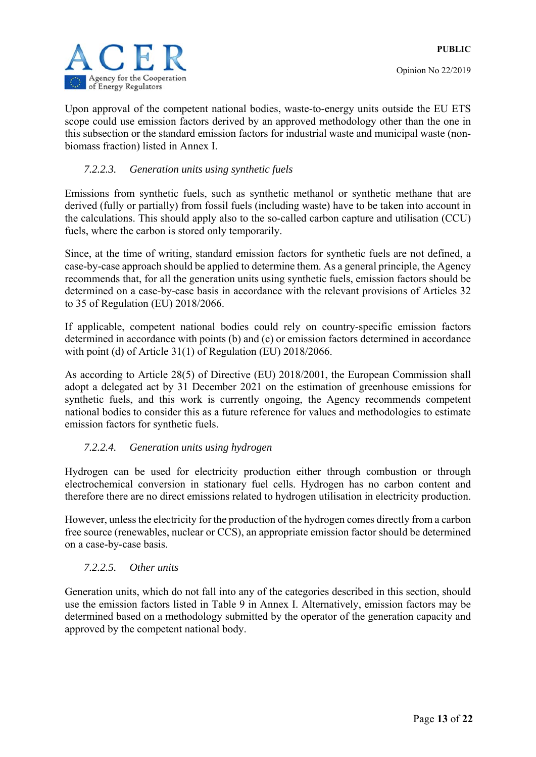Upon approval of the competent national bodies, waste-to-energy units outside the EU ETS scope could use emission factors derived by an approved methodology other than the one in this subsection or the standard emission factors for industrial waste and municipal waste (nonbiomass fraction) listed in Annex I.

#### *7.2.2.3. Generation units using synthetic fuels*

Emissions from synthetic fuels, such as synthetic methanol or synthetic methane that are derived (fully or partially) from fossil fuels (including waste) have to be taken into account in the calculations. This should apply also to the so-called carbon capture and utilisation (CCU) fuels, where the carbon is stored only temporarily.

Since, at the time of writing, standard emission factors for synthetic fuels are not defined, a case-by-case approach should be applied to determine them. As a general principle, the Agency recommends that, for all the generation units using synthetic fuels, emission factors should be determined on a case-by-case basis in accordance with the relevant provisions of Articles 32 to 35 of Regulation (EU) 2018/2066.

If applicable, competent national bodies could rely on country-specific emission factors determined in accordance with points (b) and (c) or emission factors determined in accordance with point (d) of Article 31(1) of Regulation (EU) 2018/2066.

As according to Article 28(5) of Directive (EU) 2018/2001, the European Commission shall adopt a delegated act by 31 December 2021 on the estimation of greenhouse emissions for synthetic fuels, and this work is currently ongoing, the Agency recommends competent national bodies to consider this as a future reference for values and methodologies to estimate emission factors for synthetic fuels.

#### *7.2.2.4. Generation units using hydrogen*

Hydrogen can be used for electricity production either through combustion or through electrochemical conversion in stationary fuel cells. Hydrogen has no carbon content and therefore there are no direct emissions related to hydrogen utilisation in electricity production.

However, unless the electricity for the production of the hydrogen comes directly from a carbon free source (renewables, nuclear or CCS), an appropriate emission factor should be determined on a case-by-case basis.

#### *7.2.2.5. Other units*

Generation units, which do not fall into any of the categories described in this section, should use the emission factors listed in Table 9 in Annex I. Alternatively, emission factors may be determined based on a methodology submitted by the operator of the generation capacity and approved by the competent national body.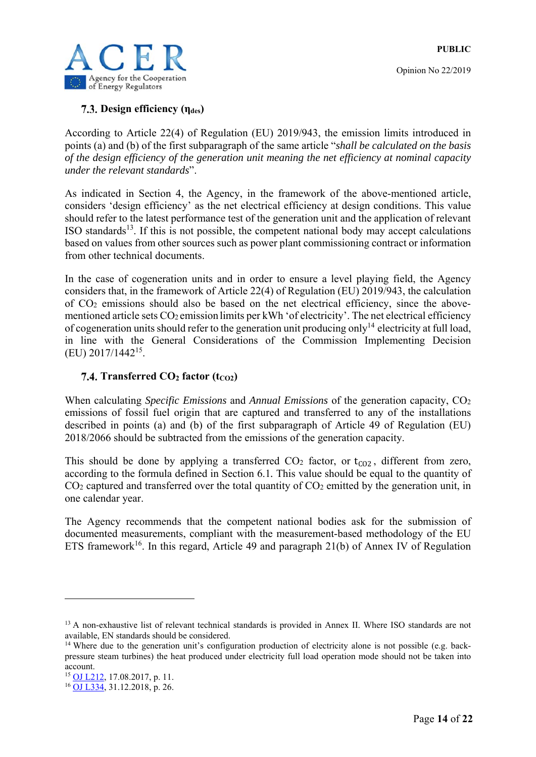

#### **Design efficiency (ηdes)**

According to Article 22(4) of Regulation (EU) 2019/943, the emission limits introduced in points (a) and (b) of the first subparagraph of the same article "*shall be calculated on the basis of the design efficiency of the generation unit meaning the net efficiency at nominal capacity under the relevant standards*".

As indicated in Section 4, the Agency, in the framework of the above-mentioned article, considers 'design efficiency' as the net electrical efficiency at design conditions. This value should refer to the latest performance test of the generation unit and the application of relevant ISO standards $13$ . If this is not possible, the competent national body may accept calculations based on values from other sources such as power plant commissioning contract or information from other technical documents.

In the case of cogeneration units and in order to ensure a level playing field, the Agency considers that, in the framework of Article 22(4) of Regulation (EU) 2019/943, the calculation of CO2 emissions should also be based on the net electrical efficiency, since the abovementioned article sets  $CO_2$  emission limits per kWh 'of electricity'. The net electrical efficiency of cogeneration units should refer to the generation unit producing only<sup>14</sup> electricity at full load, in line with the General Considerations of the Commission Implementing Decision (EU) 2017/144215.

#### **7.4. Transferred**  $CO<sub>2</sub>$  **factor (t<sub>CO2</sub>)**

When calculating *Specific Emissions* and *Annual Emissions* of the generation capacity, CO<sub>2</sub> emissions of fossil fuel origin that are captured and transferred to any of the installations described in points (a) and (b) of the first subparagraph of Article 49 of Regulation (EU) 2018/2066 should be subtracted from the emissions of the generation capacity.

This should be done by applying a transferred  $CO<sub>2</sub>$  factor, or  $t<sub>CO2</sub>$ , different from zero, according to the formula defined in Section 6.1*.* This value should be equal to the quantity of CO<sub>2</sub> captured and transferred over the total quantity of CO<sub>2</sub> emitted by the generation unit, in one calendar year.

The Agency recommends that the competent national bodies ask for the submission of documented measurements, compliant with the measurement-based methodology of the EU ETS framework<sup>16</sup>. In this regard, Article 49 and paragraph 21(b) of Annex IV of Regulation

1

<sup>&</sup>lt;sup>13</sup> A non-exhaustive list of relevant technical standards is provided in Annex II. Where ISO standards are not available, EN standards should be considered.

<sup>&</sup>lt;sup>14</sup> Where due to the generation unit's configuration production of electricity alone is not possible (e.g. backpressure steam turbines) the heat produced under electricity full load operation mode should not be taken into account.

<sup>15</sup> OJ L212, 17.08.2017, p. 11.

<sup>16</sup> OJ L334, 31.12.2018, p. 26.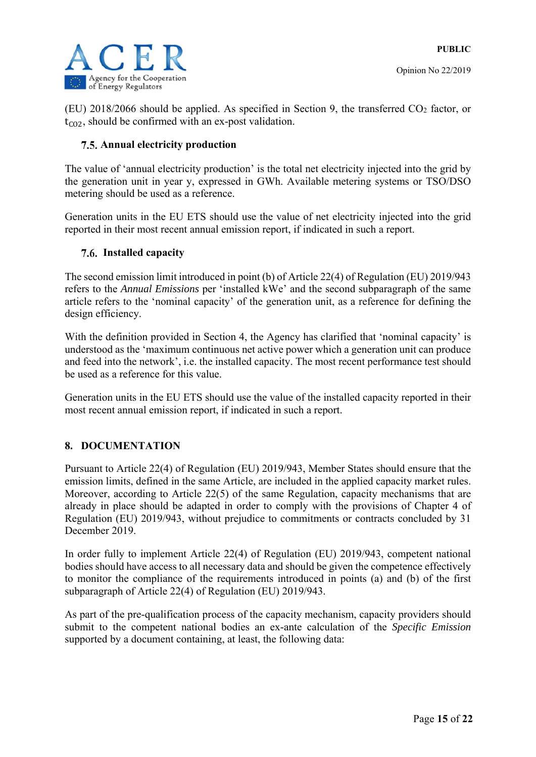

(EU) 2018/2066 should be applied. As specified in Section 9, the transferred CO2 factor, or  $t_{CO2}$ , should be confirmed with an ex-post validation.

#### **7.5. Annual electricity production**

The value of 'annual electricity production' is the total net electricity injected into the grid by the generation unit in year y, expressed in GWh. Available metering systems or TSO/DSO metering should be used as a reference.

Generation units in the EU ETS should use the value of net electricity injected into the grid reported in their most recent annual emission report, if indicated in such a report.

#### **Installed capacity**

The second emission limit introduced in point (b) of Article 22(4) of Regulation (EU) 2019/943 refers to the *Annual Emissions* per 'installed kWe' and the second subparagraph of the same article refers to the 'nominal capacity' of the generation unit, as a reference for defining the design efficiency.

With the definition provided in Section 4, the Agency has clarified that 'nominal capacity' is understood as the 'maximum continuous net active power which a generation unit can produce and feed into the network', i.e. the installed capacity. The most recent performance test should be used as a reference for this value.

Generation units in the EU ETS should use the value of the installed capacity reported in their most recent annual emission report, if indicated in such a report.

#### **8. DOCUMENTATION**

Pursuant to Article 22(4) of Regulation (EU) 2019/943, Member States should ensure that the emission limits, defined in the same Article, are included in the applied capacity market rules. Moreover, according to Article 22(5) of the same Regulation, capacity mechanisms that are already in place should be adapted in order to comply with the provisions of Chapter 4 of Regulation (EU) 2019/943, without prejudice to commitments or contracts concluded by 31 December 2019.

In order fully to implement Article 22(4) of Regulation (EU) 2019/943, competent national bodies should have access to all necessary data and should be given the competence effectively to monitor the compliance of the requirements introduced in points (a) and (b) of the first subparagraph of Article 22(4) of Regulation (EU) 2019/943.

As part of the pre-qualification process of the capacity mechanism, capacity providers should submit to the competent national bodies an ex-ante calculation of the *Specific Emission* supported by a document containing, at least, the following data: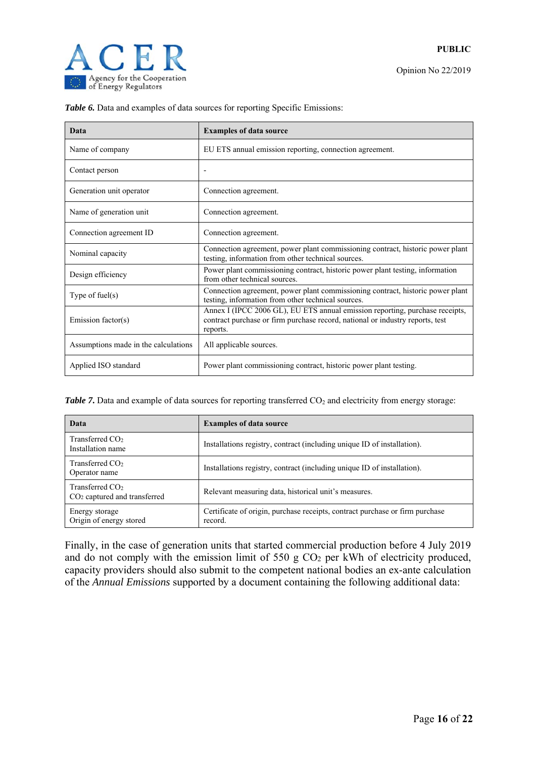

| <b>Data</b>                          | <b>Examples of data source</b>                                                                                                                                            |
|--------------------------------------|---------------------------------------------------------------------------------------------------------------------------------------------------------------------------|
| Name of company                      | EU ETS annual emission reporting, connection agreement.                                                                                                                   |
| Contact person                       |                                                                                                                                                                           |
| Generation unit operator             | Connection agreement.                                                                                                                                                     |
| Name of generation unit              | Connection agreement.                                                                                                                                                     |
| Connection agreement ID              | Connection agreement.                                                                                                                                                     |
| Nominal capacity                     | Connection agreement, power plant commissioning contract, historic power plant<br>testing, information from other technical sources.                                      |
| Design efficiency                    | Power plant commissioning contract, historic power plant testing, information<br>from other technical sources.                                                            |
| Type of fuel $(s)$                   | Connection agreement, power plant commissioning contract, historic power plant<br>testing, information from other technical sources.                                      |
| Emission factor(s)                   | Annex I (IPCC 2006 GL), EU ETS annual emission reporting, purchase receipts,<br>contract purchase or firm purchase record, national or industry reports, test<br>reports. |
| Assumptions made in the calculations | All applicable sources.                                                                                                                                                   |
| Applied ISO standard                 | Power plant commissioning contract, historic power plant testing.                                                                                                         |

**Table 6.** Data and examples of data sources for reporting Specific Emissions:

*Table 7*. Data and example of data sources for reporting transferred CO<sub>2</sub> and electricity from energy storage:

| Data                                                          | <b>Examples of data source</b>                                                          |
|---------------------------------------------------------------|-----------------------------------------------------------------------------------------|
| Transferred CO <sub>2</sub><br>Installation name              | Installations registry, contract (including unique ID of installation).                 |
| Transferred $CO2$<br>Operator name                            | Installations registry, contract (including unique ID of installation).                 |
| Transferred CO <sub>2</sub><br>$CO2$ captured and transferred | Relevant measuring data, historical unit's measures.                                    |
| Energy storage<br>Origin of energy stored                     | Certificate of origin, purchase receipts, contract purchase or firm purchase<br>record. |

Finally, in the case of generation units that started commercial production before 4 July 2019 and do not comply with the emission limit of 550 g  $CO<sub>2</sub>$  per kWh of electricity produced, capacity providers should also submit to the competent national bodies an ex-ante calculation of the *Annual Emissions* supported by a document containing the following additional data: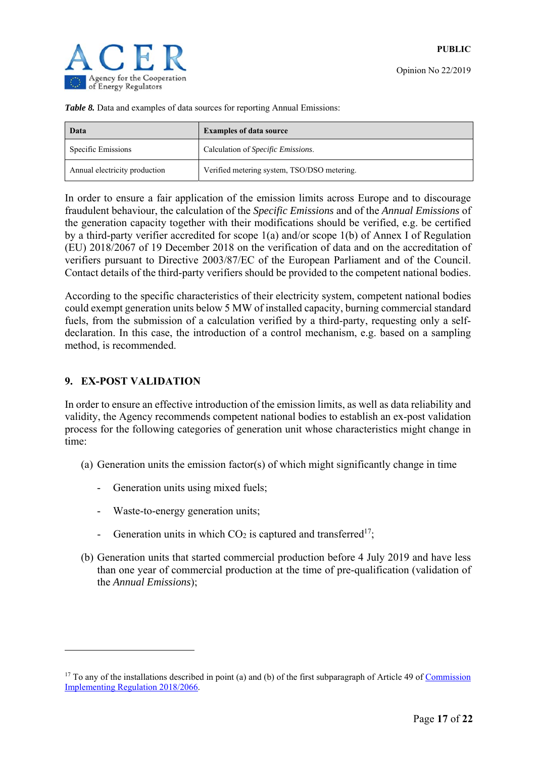|  |  |  |  |  | Table 8. Data and examples of data sources for reporting Annual Emissions: |
|--|--|--|--|--|----------------------------------------------------------------------------|
|  |  |  |  |  |                                                                            |

| Data                          | <b>Examples of data source</b>              |
|-------------------------------|---------------------------------------------|
| Specific Emissions            | Calculation of <i>Specific Emissions</i> .  |
| Annual electricity production | Verified metering system, TSO/DSO metering. |

In order to ensure a fair application of the emission limits across Europe and to discourage fraudulent behaviour, the calculation of the *Specific Emissions* and of the *Annual Emissions* of the generation capacity together with their modifications should be verified, e.g. be certified by a third-party verifier accredited for scope 1(a) and/or scope 1(b) of Annex I of Regulation (EU) 2018/2067 of 19 December 2018 on the verification of data and on the accreditation of verifiers pursuant to Directive 2003/87/EC of the European Parliament and of the Council. Contact details of the third-party verifiers should be provided to the competent national bodies.

According to the specific characteristics of their electricity system, competent national bodies could exempt generation units below 5 MW of installed capacity, burning commercial standard fuels, from the submission of a calculation verified by a third-party, requesting only a selfdeclaration. In this case, the introduction of a control mechanism, e.g. based on a sampling method, is recommended.

#### **9. EX-POST VALIDATION**

1

In order to ensure an effective introduction of the emission limits, as well as data reliability and validity, the Agency recommends competent national bodies to establish an ex-post validation process for the following categories of generation unit whose characteristics might change in time:

- (a) Generation units the emission factor(s) of which might significantly change in time
	- Generation units using mixed fuels;
	- Waste-to-energy generation units;
	- Generation units in which  $CO<sub>2</sub>$  is captured and transferred<sup>17</sup>;
- (b) Generation units that started commercial production before 4 July 2019 and have less than one year of commercial production at the time of pre-qualification (validation of the *Annual Emissions*);

 $17$  To any of the installations described in point (a) and (b) of the first subparagraph of Article 49 of Commission Implementing Regulation 2018/2066.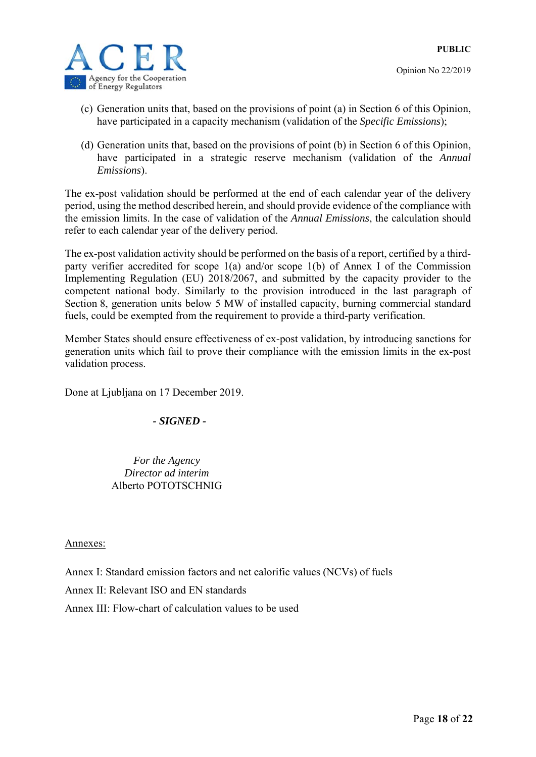

- (c) Generation units that, based on the provisions of point (a) in Section 6 of this Opinion, have participated in a capacity mechanism (validation of the *Specific Emissions*);
- (d) Generation units that, based on the provisions of point (b) in Section 6 of this Opinion, have participated in a strategic reserve mechanism (validation of the *Annual Emissions*).

The ex-post validation should be performed at the end of each calendar year of the delivery period, using the method described herein, and should provide evidence of the compliance with the emission limits. In the case of validation of the *Annual Emissions*, the calculation should refer to each calendar year of the delivery period.

The ex-post validation activity should be performed on the basis of a report, certified by a thirdparty verifier accredited for scope 1(a) and/or scope 1(b) of Annex I of the Commission Implementing Regulation (EU) 2018/2067, and submitted by the capacity provider to the competent national body. Similarly to the provision introduced in the last paragraph of Section 8, generation units below 5 MW of installed capacity, burning commercial standard fuels, could be exempted from the requirement to provide a third-party verification.

Member States should ensure effectiveness of ex-post validation, by introducing sanctions for generation units which fail to prove their compliance with the emission limits in the ex-post validation process.

Done at Ljubljana on 17 December 2019.

#### *- SIGNED -*

*For the Agency Director ad interim*  Alberto POTOTSCHNIG

#### Annexes:

Annex I: Standard emission factors and net calorific values (NCVs) of fuels

Annex II: Relevant ISO and EN standards

Annex III: Flow-chart of calculation values to be used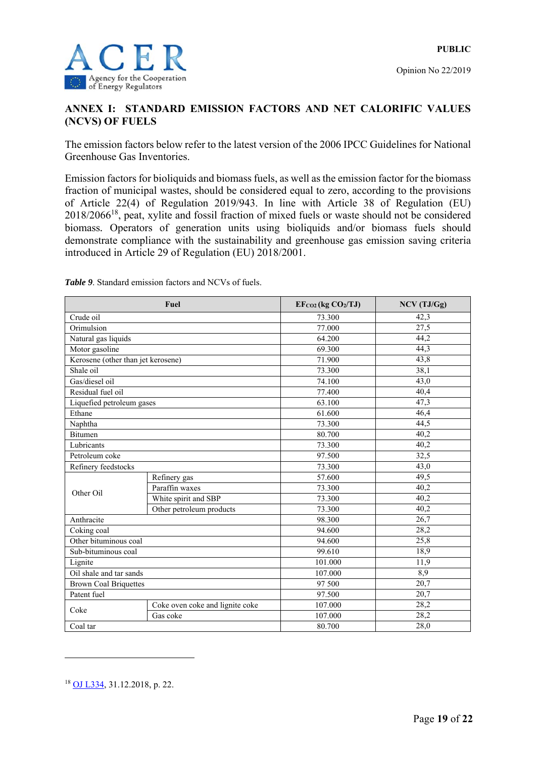

#### **ANNEX I: STANDARD EMISSION FACTORS AND NET CALORIFIC VALUES (NCVS) OF FUELS**

The emission factors below refer to the latest version of the 2006 IPCC Guidelines for National Greenhouse Gas Inventories.

Emission factors for bioliquids and biomass fuels, as well as the emission factor for the biomass fraction of municipal wastes, should be considered equal to zero, according to the provisions of Article 22(4) of Regulation 2019/943. In line with Article 38 of Regulation (EU) 2018/206618, peat, xylite and fossil fraction of mixed fuels or waste should not be considered biomass*.* Operators of generation units using bioliquids and/or biomass fuels should demonstrate compliance with the sustainability and greenhouse gas emission saving criteria introduced in Article 29 of Regulation (EU) 2018/2001.

|                                    | Fuel                            | $EF_{CO2}$ (kg $CO2/TJ$ ) | NCV (TJ/Gg)       |
|------------------------------------|---------------------------------|---------------------------|-------------------|
| Crude oil                          |                                 | 73.300                    | 42,3              |
| Orimulsion                         |                                 | 77.000                    | $\overline{27,5}$ |
| Natural gas liquids                |                                 | 64.200                    | 44,2              |
| Motor gasoline                     |                                 | 69.300                    | 44,3              |
| Kerosene (other than jet kerosene) |                                 | 71.900                    | 43,8              |
| Shale oil                          |                                 | 73.300                    | 38,1              |
| Gas/diesel oil                     |                                 | 74.100                    | 43,0              |
| Residual fuel oil                  |                                 | 77.400                    | 40,4              |
| Liquefied petroleum gases          |                                 | 63.100                    | 47,3              |
| Ethane                             |                                 | 61.600                    | 46,4              |
| Naphtha                            |                                 | 73.300                    | 44,5              |
| <b>Bitumen</b>                     |                                 | 80.700                    | $\overline{40,2}$ |
| Lubricants                         |                                 | 73.300                    | 40,2              |
| Petroleum coke                     |                                 | 97.500                    | 32,5              |
| Refinery feedstocks                |                                 | 73.300                    | 43,0              |
|                                    | Refinery gas                    | 57.600                    | 49,5              |
| Other Oil                          | Paraffin waxes                  | 73.300                    | 40,2              |
|                                    | White spirit and SBP            | 73.300                    | 40,2              |
|                                    | Other petroleum products        | 73.300                    | 40,2              |
| Anthracite                         |                                 | 98.300                    | 26,7              |
| Coking coal                        |                                 | 94.600                    | 28,2              |
| Other bituminous coal              |                                 | 94.600                    | 25,8              |
| Sub-bituminous coal                |                                 | 99.610                    | 18,9              |
| Lignite                            |                                 | 101.000                   | 11,9              |
| Oil shale and tar sands            |                                 | 107.000                   | 8,9               |
| <b>Brown Coal Briquettes</b>       |                                 | 97 500                    | $\overline{20,7}$ |
| Patent fuel                        |                                 | 97.500                    | 20,7              |
| Coke                               | Coke oven coke and lignite coke | 107.000                   | 28,2              |
|                                    | Gas coke                        | 107.000                   | 28,2              |
| Coal tar                           |                                 | 80.700                    | 28,0              |

*Table 9.* Standard emission factors and NCVs of fuels.

<u>.</u>

<sup>&</sup>lt;sup>18</sup> OJ L334, 31.12.2018, p. 22.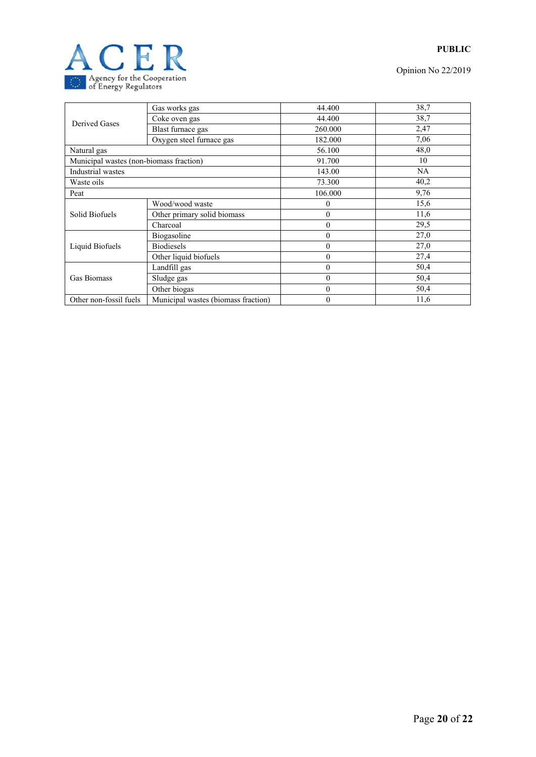

Opinion No 22/2019

|                                         | Gas works gas                       | 44.400                                                                                                                                                                                                         | 38,7      |
|-----------------------------------------|-------------------------------------|----------------------------------------------------------------------------------------------------------------------------------------------------------------------------------------------------------------|-----------|
| Derived Gases                           | Coke oven gas                       | 44.400<br>260.000<br>182.000<br>56.100<br>91.700<br>143.00<br>73.300<br>106.000<br>0<br>$\mathbf{0}$<br>$\overline{0}$<br>$\mathbf{0}$<br>$\mathbf{0}$<br>$\mathbf{0}$<br>$\mathbf{0}$<br>$\theta$<br>$\theta$ | 38,7      |
|                                         | Blast furnace gas                   |                                                                                                                                                                                                                | 2,47      |
|                                         | Oxygen steel furnace gas            |                                                                                                                                                                                                                | 7,06      |
| Natural gas                             |                                     |                                                                                                                                                                                                                | 48,0      |
| Municipal wastes (non-biomass fraction) |                                     |                                                                                                                                                                                                                | 10        |
| Industrial wastes                       |                                     |                                                                                                                                                                                                                | <b>NA</b> |
| Waste oils                              |                                     |                                                                                                                                                                                                                | 40,2      |
| Peat                                    |                                     |                                                                                                                                                                                                                | 9,76      |
|                                         | Wood/wood waste                     |                                                                                                                                                                                                                | 15,6      |
| Solid Biofuels                          | Other primary solid biomass         |                                                                                                                                                                                                                | 11,6      |
|                                         | Charcoal                            |                                                                                                                                                                                                                | 29,5      |
|                                         | Biogasoline                         |                                                                                                                                                                                                                | 27,0      |
| Liquid Biofuels                         | <b>Biodiesels</b>                   |                                                                                                                                                                                                                | 27,0      |
|                                         | Other liquid biofuels               |                                                                                                                                                                                                                | 27,4      |
|                                         | Landfill gas                        |                                                                                                                                                                                                                | 50,4      |
| <b>Gas Biomass</b>                      | Sludge gas                          |                                                                                                                                                                                                                | 50,4      |
|                                         | Other biogas                        |                                                                                                                                                                                                                | 50,4      |
| Other non-fossil fuels                  | Municipal wastes (biomass fraction) | $\overline{0}$                                                                                                                                                                                                 | 11,6      |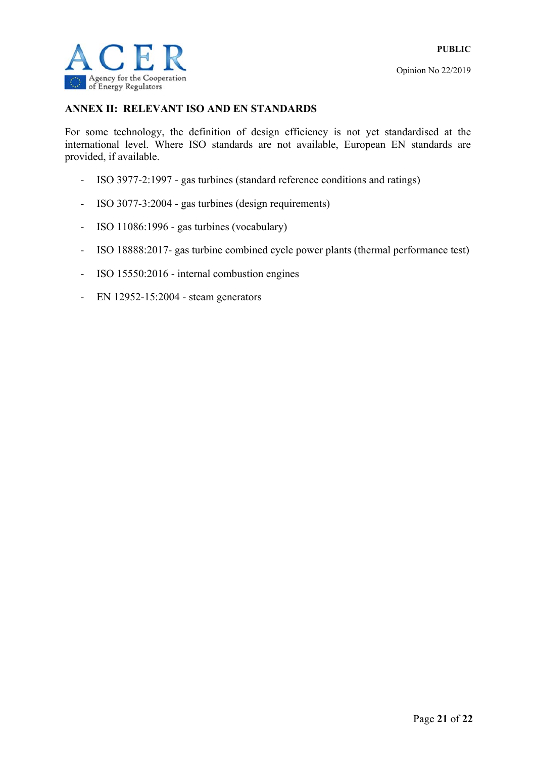

#### **ANNEX II: RELEVANT ISO AND EN STANDARDS**

For some technology, the definition of design efficiency is not yet standardised at the international level. Where ISO standards are not available, European EN standards are provided, if available.

- ISO 3977-2:1997 gas turbines (standard reference conditions and ratings)
- ISO 3077-3:2004 gas turbines (design requirements)
- ISO 11086:1996 gas turbines (vocabulary)
- ISO 18888:2017- gas turbine combined cycle power plants (thermal performance test)
- ISO 15550:2016 internal combustion engines
- EN 12952-15:2004 steam generators